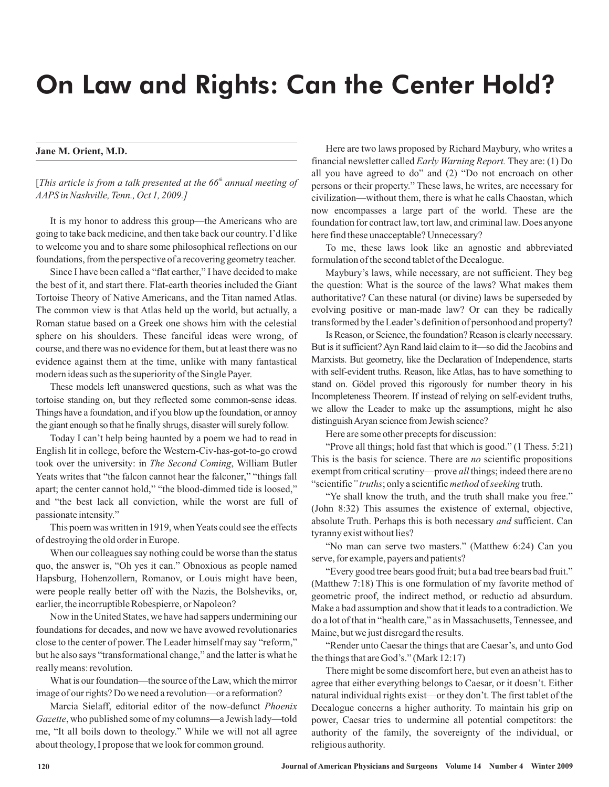## On Law and Rights: Can the Center Hold?

## **Jane M. Orient, M.D.**

[This article is from a talk presented at the 66<sup>th</sup> annual meeting of *AAPS in Nashville, Tenn., Oct 1, 2009.]*

It is my honor to address this group—the Americans who are going to take back medicine, and then take back our country. I'd like to welcome you and to share some philosophical reflections on our foundations, from the perspective of a recovering geometry teacher.

Since I have been called a "flat earther," I have decided to make the best of it, and start there. Flat-earth theories included the Giant Tortoise Theory of Native Americans, and the Titan named Atlas. The common view is that Atlas held up the world, but actually, a Roman statue based on a Greek one shows him with the celestial sphere on his shoulders. These fanciful ideas were wrong, of course, and there was no evidence for them, but at least there was no evidence against them at the time, unlike with many fantastical modern ideas such as the superiority of the Single Payer.

These models left unanswered questions, such as what was the tortoise standing on, but they reflected some common-sense ideas. Things have a foundation, and if you blow up the foundation, or annoy the giant enough so that he finally shrugs, disaster will surely follow.

Today I can't help being haunted by a poem we had to read in English lit in college, before the Western-Civ-has-got-to-go crowd took over the university: in *The Second Coming*, William Butler Yeats writes that "the falcon cannot hear the falconer," "things fall apart; the center cannot hold," "the blood-dimmed tide is loosed," and "the best lack all conviction, while the worst are full of passionate intensity."

This poem was written in 1919, when Yeats could see the effects of destroying the old order in Europe.

When our colleagues say nothing could be worse than the status quo, the answer is, "Oh yes it can." Obnoxious as people named Hapsburg, Hohenzollern, Romanov, or Louis might have been, were people really better off with the Nazis, the Bolsheviks, or, earlier, the incorruptible Robespierre, or Napoleon?

Now in the United States, we have had sappers undermining our foundations for decades, and now we have avowed revolutionaries close to the center of power. The Leader himself may say "reform," but he also says "transformational change," and the latter is what he really means: revolution.

What is our foundation—the source of the Law, which the mirror image of our rights? Do we need a revolution—or a reformation?

Marcia Sielaff, editorial editor of the now-defunct *Phoenix* Gazette, who published some of my columns-a Jewish lady-told me, "It all boils down to theology." While we will not all agree about theology, I propose that we look for common ground.

Here are two laws proposed by Richard Maybury, who writes a financial newsletter called *Early Warning Report*. They are: (1) Do all you have agreed to do" and (2) "Do not encroach on other persons or their property." These laws, he writes, are necessary for civilization—without them, there is what he calls Chaostan, which now encompasses a large part of the world. These are the foundation for contract law, tort law, and criminal law. Does anyone here find these unacceptable? Unnecessary?

To me, these laws look like an agnostic and abbreviated formulation of the second tablet of the Decalogue.

Maybury's laws, while necessary, are not sufficient. They beg the question: What is the source of the laws? What makes them authoritative? Can these natural (or divine) laws be superseded by evolving positive or man-made law? Or can they be radically transformed by the Leader's definition of personhood and property?

Is Reason, or Science, the foundation? Reason is clearly necessary. But is it sufficient? Ayn Rand laid claim to it—so did the Jacobins and Marxists. But geometry, like the Declaration of Independence, starts with self-evident truths. Reason, like Atlas, has to have something to stand on. Gödel proved this rigorously for number theory in his Incompleteness Theorem. If instead of relying on self-evident truths, we allow the Leader to make up the assumptions, might he also distinguishAryan science from Jewish science?

Here are some other precepts for discussion:

"Prove all things; hold fast that which is good." (1 Thess. 5:21) This is the basis for science. There are *no* scientific propositions exempt from critical scrutiny—prove all things; indeed there are no "scientific" truths; only a scientific method of seeking truth.

"Ye shall know the truth, and the truth shall make you free." (John 8:32) This assumes the existence of external, objective, absolute Truth. Perhaps this is both necessary and sufficient. Can tyranny exist without lies?

"No man can serve two masters." (Matthew 6:24) Can you serve, for example, payers and patients?

"Every good tree bears good fruit; but a bad tree bears bad fruit." (Matthew 7:18) This is one formulation of my favorite method of geometric proof, the indirect method, or reductio ad absurdum. Make a bad assumption and show that it leads to a contradiction. We do a lot of that in "health care," as in Massachusetts, Tennessee, and Maine, but we just disregard the results.

"Render unto Caesar the things that are Caesar's, and unto God the things that are God's." (Mark 12:17)

There might be some discomfort here, but even an atheist has to agree that either everything belongs to Caesar, or it doesn't. Either natural individual rights exist—or they don't. The first tablet of the Decalogue concerns a higher authority. To maintain his grip on power, Caesar tries to undermine all potential competitors: the authority of the family, the sovereignty of the individual, or religious authority.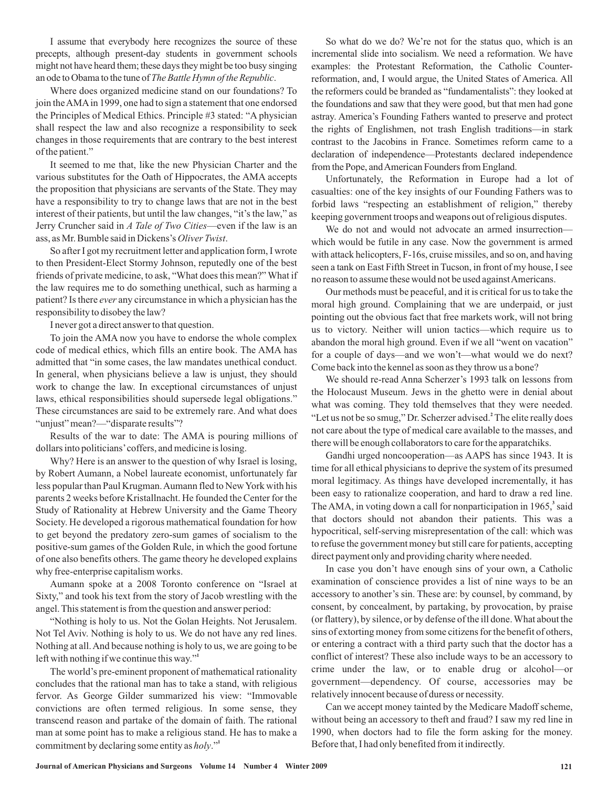I assume that everybody here recognizes the source of these precepts, although present-day students in government schools might not have heard them; these days they might be too busy singing an ode to Obama to the tune of *The Battle Hymn of the Republic*.

Where does organized medicine stand on our foundations? To join theAMAin 1999, one had to sign a statement that one endorsed the Principles of Medical Ethics. Principle #3 stated: "A physician shall respect the law and also recognize a responsibility to seek changes in those requirements that are contrary to the best interest of the patient."

It seemed to me that, like the new Physician Charter and the various substitutes for the Oath of Hippocrates, the AMA accepts the proposition that physicians are servants of the State. They may have a responsibility to try to change laws that are not in the best interest of their patients, but until the law changes, "it's the law," as Jerry Cruncher said in *A Tale of Two Cities*—even if the law is an ass, as Mr. Bumble said in Dickens's Oliver Twist.

So after I got my recruitment letter and application form, I wrote to then President-Elect Stormy Johnson, reputedly one of the best friends of private medicine, to ask, "What does this mean?" What if the law requires me to do something unethical, such as harming a patient? Is there *ever* any circumstance in which a physician has the responsibility to disobey the law?

I never got a direct answer to that question.

To join the AMA now you have to endorse the whole complex code of medical ethics, which fills an entire book. The AMA has admitted that "in some cases, the law mandates unethical conduct. In general, when physicians believe a law is unjust, they should work to change the law. In exceptional circumstances of unjust laws, ethical responsibilities should supersede legal obligations." These circumstances are said to be extremely rare. And what does "unjust" mean?—"disparate results"?

Results of the war to date: The AMA is pouring millions of dollars into politicians'coffers, and medicine is losing.

Why? Here is an answer to the question of why Israel is losing, by Robert Aumann, a Nobel laureate economist, unfortunately far less popular than Paul Krugman.Aumann fled to NewYork with his parents 2 weeks before Kristallnacht. He founded the Center for the Study of Rationality at Hebrew University and the Game Theory Society. He developed a rigorous mathematical foundation for how to get beyond the predatory zero-sum games of socialism to the positive-sum games of the Golden Rule, in which the good fortune of one also benefits others. The game theory he developed explains why free-enterprise capitalism works.

Aumann spoke at a 2008 Toronto conference on "Israel at Sixty," and took his text from the story of Jacob wrestling with the angel. This statement is from the question and answer period:

"Nothing is holy to us. Not the Golan Heights. Not Jerusalem. Not Tel Aviv. Nothing is holy to us. We do not have any red lines. Nothing at all.And because nothing is holy to us, we are going to be left with nothing if we continue this way." **1**

The world's pre-eminent proponent of mathematical rationality concludes that the rational man has to take a stand, with religious fervor. As George Gilder summarized his view: "Immovable convictions are often termed religious. In some sense, they transcend reason and partake of the domain of faith. The rational man at some point has to make a religious stand. He has to make a commitment by declaring some entity as holy."<sup>1</sup>

So what do we do? We're not for the status quo, which is an incremental slide into socialism. We need a reformation. We have examples: the Protestant Reformation, the Catholic Counterreformation, and, I would argue, the United States of America. All the reformers could be branded as "fundamentalists": they looked at the foundations and saw that they were good, but that men had gone astray. America's Founding Fathers wanted to preserve and protect the rights of Englishmen, not trash English traditions—in stark contrast to the Jacobins in France. Sometimes reform came to a declaration of independence—Protestants declared independence from the Pope, and American Founders from England.

Unfortunately, the Reformation in Europe had a lot of casualties: one of the key insights of our Founding Fathers was to forbid laws "respecting an establishment of religion," thereby keeping government troops and weapons out of religious disputes.

We do not and would not advocate an armed insurrection which would be futile in any case. Now the government is armed with attack helicopters, F-16s, cruise missiles, and so on, and having seen a tank on East Fifth Street in Tucson, in front of my house, I see no reason to assume these would not be used againstAmericans.

Our methods must be peaceful, and it is critical for us to take the moral high ground. Complaining that we are underpaid, or just pointing out the obvious fact that free markets work, will not bring us to victory. Neither will union tactics—which require us to abandon the moral high ground. Even if we all "went on vacation" for a couple of days—and we won't—what would we do next? Come back into the kennel as soon as they throw us a bone?

We should re-read Anna Scherzer's 1993 talk on lessons from the Holocaust Museum. Jews in the ghetto were in denial about what was coming. They told themselves that they were needed. "Let us not be so smug," Dr. Scherzer advised.<sup>2</sup> The elite really does not care about the type of medical care available to the masses, and there will be enough collaborators to care for the apparatchiks.

Gandhi urged noncooperation—as AAPS has since 1943. It is time for all ethical physicians to deprive the system of its presumed moral legitimacy. As things have developed incrementally, it has been easy to rationalize cooperation, and hard to draw a red line. The AMA, in voting down a call for nonparticipation in 1965,<sup>3</sup> said that doctors should not abandon their patients. This was a hypocritical, self-serving misrepresentation of the call: which was to refuse the government money but still care for patients, accepting direct payment only and providing charity where needed.

In case you don't have enough sins of your own, a Catholic examination of conscience provides a list of nine ways to be an accessory to another's sin. These are: by counsel, by command, by consent, by concealment, by partaking, by provocation, by praise (or flattery), by silence, or by defense of the ill done. What about the sins of extorting money from some citizens for the benefit of others, or entering a contract with a third party such that the doctor has a conflict of interest? These also include ways to be an accessory to crime under the law, or to enable drug or alcohol—or government—dependency. Of course, accessories may be relatively innocent because of duress or necessity.

Can we accept money tainted by the Medicare Madoff scheme, without being an accessory to theft and fraud? I saw my red line in 1990, when doctors had to file the form asking for the money. Before that, I had only benefited from it indirectly.